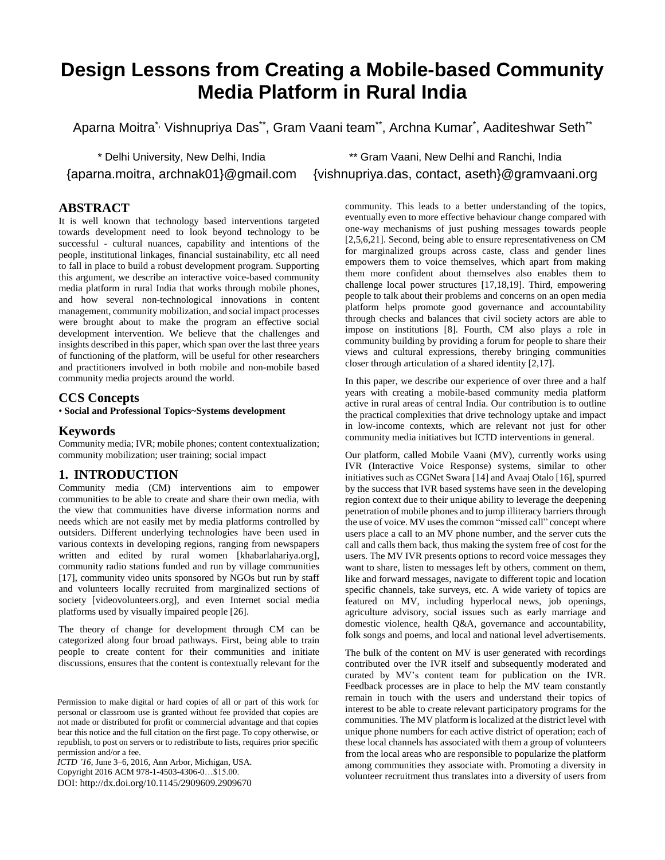# **Design Lessons from Creating a Mobile-based Community Media Platform in Rural India**

Aparna Moitra\*, Vishnupriya Das\*\*, Gram Vaani team\*\*, Archna Kumar\*, Aaditeshwar Seth\*\*

\* Delhi University, New Delhi, India

{aparna.moitra, archnak01}@gmail.com

\*\* Gram Vaani, New Delhi and Ranchi, India {vishnupriya.das, contact, aseth}@gramvaani.org

## **ABSTRACT**

It is well known that technology based interventions targeted towards development need to look beyond technology to be successful - cultural nuances, capability and intentions of the people, institutional linkages, financial sustainability, etc all need to fall in place to build a robust development program. Supporting this argument, we describe an interactive voice-based community media platform in rural India that works through mobile phones, and how several non-technological innovations in content management, community mobilization, and social impact processes were brought about to make the program an effective social development intervention. We believe that the challenges and insights described in this paper, which span over the last three years of functioning of the platform, will be useful for other researchers and practitioners involved in both mobile and non-mobile based community media projects around the world.

### **CCS Concepts**

• **Social and Professional Topics~Systems development**

#### **Keywords**

Community media; IVR; mobile phones; content contextualization; community mobilization; user training; social impact

# **1. INTRODUCTION**

Community media (CM) interventions aim to empower communities to be able to create and share their own media, with the view that communities have diverse information norms and needs which are not easily met by media platforms controlled by outsiders. Different underlying technologies have been used in various contexts in developing regions, ranging from newspapers written and edited by rural women [khabarlahariya.org], community radio stations funded and run by village communities [17], community video units sponsored by NGOs but run by staff and volunteers locally recruited from marginalized sections of society [videovolunteers.org], and even Internet social media platforms used by visually impaired people [26].

The theory of change for development through CM can be categorized along four broad pathways. First, being able to train people to create content for their communities and initiate discussions, ensures that the content is contextually relevant for the

*ICTD '16*, June 3–6, 2016, Ann Arbor, Michigan, USA. Copyright 2016 ACM 978-1-4503-4306-0…\$15.00.

DOI: http://dx.doi.org/10.1145/2909609.2909670

community. This leads to a better understanding of the topics, eventually even to more effective behaviour change compared with one-way mechanisms of just pushing messages towards people [2,5,6,21]. Second, being able to ensure representativeness on CM for marginalized groups across caste, class and gender lines empowers them to voice themselves, which apart from making them more confident about themselves also enables them to challenge local power structures [17,18,19]. Third, empowering people to talk about their problems and concerns on an open media platform helps promote good governance and accountability through checks and balances that civil society actors are able to impose on institutions [8]. Fourth, CM also plays a role in community building by providing a forum for people to share their views and cultural expressions, thereby bringing communities closer through articulation of a shared identity [2,17].

In this paper, we describe our experience of over three and a half years with creating a mobile-based community media platform active in rural areas of central India. Our contribution is to outline the practical complexities that drive technology uptake and impact in low-income contexts, which are relevant not just for other community media initiatives but ICTD interventions in general.

Our platform, called Mobile Vaani (MV), currently works using IVR (Interactive Voice Response) systems, similar to other initiatives such as CGNet Swara [14] and Avaaj Otalo [16], spurred by the success that IVR based systems have seen in the developing region context due to their unique ability to leverage the deepening penetration of mobile phones and to jump illiteracy barriers through the use of voice. MV uses the common "missed call" concept where users place a call to an MV phone number, and the server cuts the call and calls them back, thus making the system free of cost for the users. The MV IVR presents options to record voice messages they want to share, listen to messages left by others, comment on them, like and forward messages, navigate to different topic and location specific channels, take surveys, etc. A wide variety of topics are featured on MV, including hyperlocal news, job openings, agriculture advisory, social issues such as early marriage and domestic violence, health Q&A, governance and accountability, folk songs and poems, and local and national level advertisements.

The bulk of the content on MV is user generated with recordings contributed over the IVR itself and subsequently moderated and curated by MV's content team for publication on the IVR. Feedback processes are in place to help the MV team constantly remain in touch with the users and understand their topics of interest to be able to create relevant participatory programs for the communities. The MV platform is localized at the district level with unique phone numbers for each active district of operation; each of these local channels has associated with them a group of volunteers from the local areas who are responsible to popularize the platform among communities they associate with. Promoting a diversity in volunteer recruitment thus translates into a diversity of users from

Permission to make digital or hard copies of all or part of this work for personal or classroom use is granted without fee provided that copies are not made or distributed for profit or commercial advantage and that copies bear this notice and the full citation on the first page. To copy otherwise, or republish, to post on servers or to redistribute to lists, requires prior specific permission and/or a fee.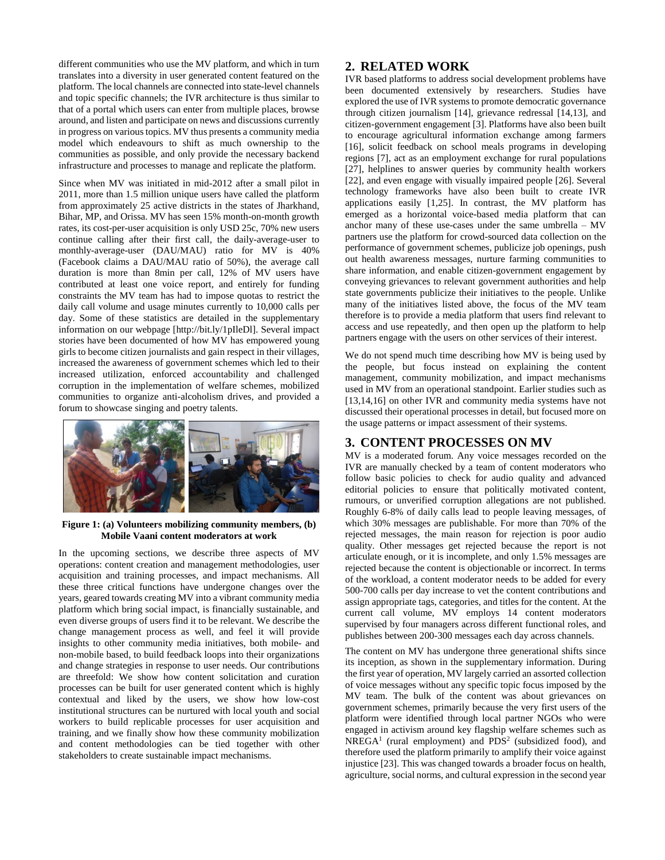different communities who use the MV platform, and which in turn translates into a diversity in user generated content featured on the platform. The local channels are connected into state-level channels and topic specific channels; the IVR architecture is thus similar to that of a portal which users can enter from multiple places, browse around, and listen and participate on news and discussions currently in progress on various topics. MV thus presents a community media model which endeavours to shift as much ownership to the communities as possible, and only provide the necessary backend infrastructure and processes to manage and replicate the platform.

Since when MV was initiated in mid-2012 after a small pilot in 2011, more than 1.5 million unique users have called the platform from approximately 25 active districts in the states of Jharkhand, Bihar, MP, and Orissa. MV has seen 15% month-on-month growth rates, its cost-per-user acquisition is only USD 25c, 70% new users continue calling after their first call, the daily-average-user to monthly-average-user (DAU/MAU) ratio for MV is 40% (Facebook claims a DAU/MAU ratio of 50%), the average call duration is more than 8min per call, 12% of MV users have contributed at least one voice report, and entirely for funding constraints the MV team has had to impose quotas to restrict the daily call volume and usage minutes currently to 10,000 calls per day. Some of these statistics are detailed in the supplementary information on our webpage [http://bit.ly/1pIleDl]. Several impact stories have been documented of how MV has empowered young girls to become citizen journalists and gain respect in their villages, increased the awareness of government schemes which led to their increased utilization, enforced accountability and challenged corruption in the implementation of welfare schemes, mobilized communities to organize anti-alcoholism drives, and provided a forum to showcase singing and poetry talents.



#### **Figure 1: (a) Volunteers mobilizing community members, (b) Mobile Vaani content moderators at work**

In the upcoming sections, we describe three aspects of MV operations: content creation and management methodologies, user acquisition and training processes, and impact mechanisms. All these three critical functions have undergone changes over the years, geared towards creating MV into a vibrant community media platform which bring social impact, is financially sustainable, and even diverse groups of users find it to be relevant. We describe the change management process as well, and feel it will provide insights to other community media initiatives, both mobile- and non-mobile based, to build feedback loops into their organizations and change strategies in response to user needs. Our contributions are threefold: We show how content solicitation and curation processes can be built for user generated content which is highly contextual and liked by the users, we show how low-cost institutional structures can be nurtured with local youth and social workers to build replicable processes for user acquisition and training, and we finally show how these community mobilization and content methodologies can be tied together with other stakeholders to create sustainable impact mechanisms.

# **2. RELATED WORK**

IVR based platforms to address social development problems have been documented extensively by researchers. Studies have explored the use of IVR systems to promote democratic governance through citizen journalism [14], grievance redressal [14,13], and citizen-government engagement [3]. Platforms have also been built to encourage agricultural information exchange among farmers [16], solicit feedback on school meals programs in developing regions [7], act as an employment exchange for rural populations [27], helplines to answer queries by community health workers [22], and even engage with visually impaired people [26]. Several technology frameworks have also been built to create IVR applications easily [1,25]. In contrast, the MV platform has emerged as a horizontal voice-based media platform that can anchor many of these use-cases under the same umbrella – MV partners use the platform for crowd-sourced data collection on the performance of government schemes, publicize job openings, push out health awareness messages, nurture farming communities to share information, and enable citizen-government engagement by conveying grievances to relevant government authorities and help state governments publicize their initiatives to the people. Unlike many of the initiatives listed above, the focus of the MV team therefore is to provide a media platform that users find relevant to access and use repeatedly, and then open up the platform to help partners engage with the users on other services of their interest.

We do not spend much time describing how MV is being used by the people, but focus instead on explaining the content management, community mobilization, and impact mechanisms used in MV from an operational standpoint. Earlier studies such as [13,14,16] on other IVR and community media systems have not discussed their operational processes in detail, but focused more on the usage patterns or impact assessment of their systems.

# **3. CONTENT PROCESSES ON MV**

MV is a moderated forum. Any voice messages recorded on the IVR are manually checked by a team of content moderators who follow basic policies to check for audio quality and advanced editorial policies to ensure that politically motivated content, rumours, or unverified corruption allegations are not published. Roughly 6-8% of daily calls lead to people leaving messages, of which 30% messages are publishable. For more than 70% of the rejected messages, the main reason for rejection is poor audio quality. Other messages get rejected because the report is not articulate enough, or it is incomplete, and only 1.5% messages are rejected because the content is objectionable or incorrect. In terms of the workload, a content moderator needs to be added for every 500-700 calls per day increase to vet the content contributions and assign appropriate tags, categories, and titles for the content. At the current call volume, MV employs 14 content moderators supervised by four managers across different functional roles, and publishes between 200-300 messages each day across channels.

The content on MV has undergone three generational shifts since its inception, as shown in the supplementary information. During the first year of operation, MV largely carried an assorted collection of voice messages without any specific topic focus imposed by the MV team. The bulk of the content was about grievances on government schemes, primarily because the very first users of the platform were identified through local partner NGOs who were engaged in activism around key flagship welfare schemes such as NREGA<sup>1</sup> (rural employment) and PDS<sup>2</sup> (subsidized food), and therefore used the platform primarily to amplify their voice against injustice [23]. This was changed towards a broader focus on health, agriculture, social norms, and cultural expression in the second year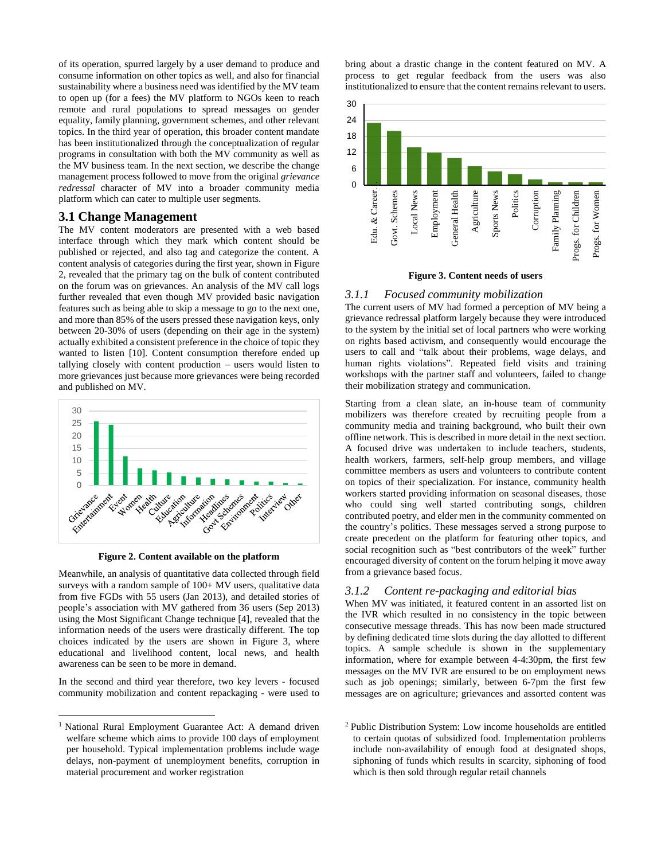of its operation, spurred largely by a user demand to produce and consume information on other topics as well, and also for financial sustainability where a business need was identified by the MV team to open up (for a fees) the MV platform to NGOs keen to reach remote and rural populations to spread messages on gender equality, family planning, government schemes, and other relevant topics. In the third year of operation, this broader content mandate has been institutionalized through the conceptualization of regular programs in consultation with both the MV community as well as the MV business team. In the next section, we describe the change management process followed to move from the original *grievance redressal* character of MV into a broader community media platform which can cater to multiple user segments.

### **3.1 Change Management**

The MV content moderators are presented with a web based interface through which they mark which content should be published or rejected, and also tag and categorize the content. A content analysis of categories during the first year, shown in Figure 2, revealed that the primary tag on the bulk of content contributed on the forum was on grievances. An analysis of the MV call logs further revealed that even though MV provided basic navigation features such as being able to skip a message to go to the next one, and more than 85% of the users pressed these navigation keys, only between 20-30% of users (depending on their age in the system) actually exhibited a consistent preference in the choice of topic they wanted to listen [10]. Content consumption therefore ended up tallying closely with content production – users would listen to more grievances just because more grievances were being recorded and published on MV.



**Figure 2. Content available on the platform**

Meanwhile, an analysis of quantitative data collected through field surveys with a random sample of 100+ MV users, qualitative data from five FGDs with 55 users (Jan 2013), and detailed stories of people's association with MV gathered from 36 users (Sep 2013) using the Most Significant Change technique [4], revealed that the information needs of the users were drastically different. The top choices indicated by the users are shown in Figure 3, where educational and livelihood content, local news, and health awareness can be seen to be more in demand.

In the second and third year therefore, two key levers - focused community mobilization and content repackaging - were used to

 $\overline{a}$ 

bring about a drastic change in the content featured on MV. A process to get regular feedback from the users was also institutionalized to ensure that the content remains relevant to users.





#### *3.1.1 Focused community mobilization*

The current users of MV had formed a perception of MV being a grievance redressal platform largely because they were introduced to the system by the initial set of local partners who were working on rights based activism, and consequently would encourage the users to call and "talk about their problems, wage delays, and human rights violations". Repeated field visits and training workshops with the partner staff and volunteers, failed to change their mobilization strategy and communication.

Starting from a clean slate, an in-house team of community mobilizers was therefore created by recruiting people from a community media and training background, who built their own offline network. This is described in more detail in the next section. A focused drive was undertaken to include teachers, students, health workers, farmers, self-help group members, and village committee members as users and volunteers to contribute content on topics of their specialization. For instance, community health workers started providing information on seasonal diseases, those who could sing well started contributing songs, children contributed poetry, and elder men in the community commented on the country's politics. These messages served a strong purpose to create precedent on the platform for featuring other topics, and social recognition such as "best contributors of the week" further encouraged diversity of content on the forum helping it move away from a grievance based focus.

#### *3.1.2 Content re-packaging and editorial bias*

When MV was initiated, it featured content in an assorted list on the IVR which resulted in no consistency in the topic between consecutive message threads. This has now been made structured by defining dedicated time slots during the day allotted to different topics. A sample schedule is shown in the supplementary information, where for example between 4-4:30pm, the first few messages on the MV IVR are ensured to be on employment news such as job openings; similarly, between 6-7pm the first few messages are on agriculture; grievances and assorted content was

<sup>&</sup>lt;sup>1</sup> National Rural Employment Guarantee Act: A demand driven welfare scheme which aims to provide 100 days of employment per household. Typical implementation problems include wage delays, non-payment of unemployment benefits, corruption in material procurement and worker registration

<sup>2</sup> Public Distribution System: Low income households are entitled to certain quotas of subsidized food. Implementation problems include non-availability of enough food at designated shops, siphoning of funds which results in scarcity, siphoning of food which is then sold through regular retail channels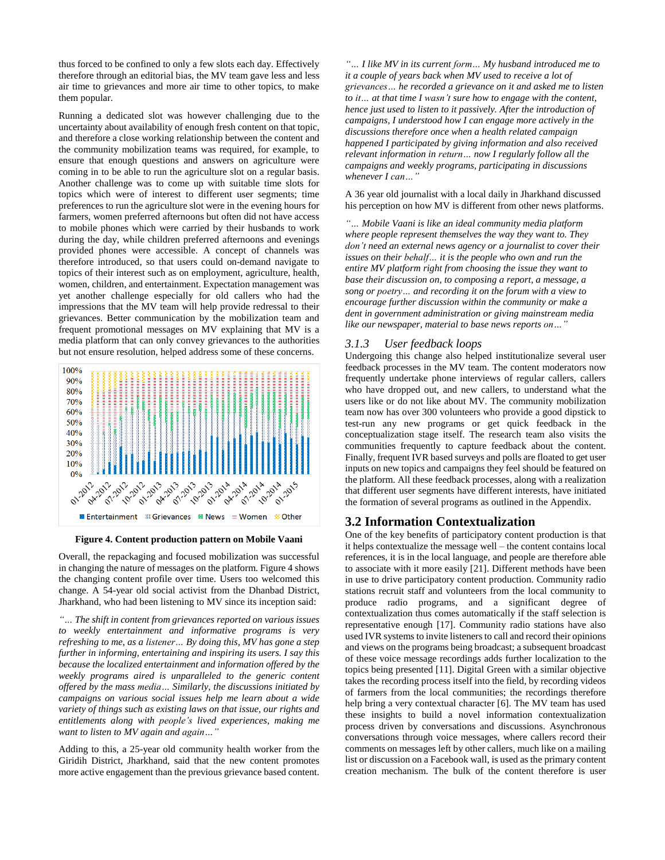thus forced to be confined to only a few slots each day. Effectively therefore through an editorial bias, the MV team gave less and less air time to grievances and more air time to other topics, to make them popular.

Running a dedicated slot was however challenging due to the uncertainty about availability of enough fresh content on that topic, and therefore a close working relationship between the content and the community mobilization teams was required, for example, to ensure that enough questions and answers on agriculture were coming in to be able to run the agriculture slot on a regular basis. Another challenge was to come up with suitable time slots for topics which were of interest to different user segments; time preferences to run the agriculture slot were in the evening hours for farmers, women preferred afternoons but often did not have access to mobile phones which were carried by their husbands to work during the day, while children preferred afternoons and evenings provided phones were accessible. A concept of channels was therefore introduced, so that users could on-demand navigate to topics of their interest such as on employment, agriculture, health, women, children, and entertainment. Expectation management was yet another challenge especially for old callers who had the impressions that the MV team will help provide redressal to their grievances. Better communication by the mobilization team and frequent promotional messages on MV explaining that MV is a media platform that can only convey grievances to the authorities but not ensure resolution, helped address some of these concerns.



**Figure 4. Content production pattern on Mobile Vaani**

Overall, the repackaging and focused mobilization was successful in changing the nature of messages on the platform. Figure 4 shows the changing content profile over time. Users too welcomed this change. A 54-year old social activist from the Dhanbad District, Jharkhand, who had been listening to MV since its inception said:

*"… The shift in content from grievances reported on various issues to weekly entertainment and informative programs is very refreshing to me, as a listener… By doing this, MV has gone a step further in informing, entertaining and inspiring its users. I say this because the localized entertainment and information offered by the weekly programs aired is unparalleled to the generic content offered by the mass media… Similarly, the discussions initiated by campaigns on various social issues help me learn about a wide variety of things such as existing laws on that issue, our rights and entitlements along with people's lived experiences, making me want to listen to MV again and again…"*

Adding to this, a 25-year old community health worker from the Giridih District, Jharkhand, said that the new content promotes more active engagement than the previous grievance based content.

*"… I like MV in its current form… My husband introduced me to it a couple of years back when MV used to receive a lot of grievances… he recorded a grievance on it and asked me to listen to it… at that time I wasn't sure how to engage with the content, hence just used to listen to it passively. After the introduction of campaigns, I understood how I can engage more actively in the discussions therefore once when a health related campaign happened I participated by giving information and also received relevant information in return… now I regularly follow all the campaigns and weekly programs, participating in discussions whenever I can…"*

A 36 year old journalist with a local daily in Jharkhand discussed his perception on how MV is different from other news platforms.

*"… Mobile Vaani is like an ideal community media platform where people represent themselves the way they want to. They don't need an external news agency or a journalist to cover their issues on their behalf… it is the people who own and run the entire MV platform right from choosing the issue they want to base their discussion on, to composing a report, a message, a song or poetry… and recording it on the forum with a view to encourage further discussion within the community or make a dent in government administration or giving mainstream media like our newspaper, material to base news reports on…"*

### *3.1.3 User feedback loops*

Undergoing this change also helped institutionalize several user feedback processes in the MV team. The content moderators now frequently undertake phone interviews of regular callers, callers who have dropped out, and new callers, to understand what the users like or do not like about MV. The community mobilization team now has over 300 volunteers who provide a good dipstick to test-run any new programs or get quick feedback in the conceptualization stage itself. The research team also visits the communities frequently to capture feedback about the content. Finally, frequent IVR based surveys and polls are floated to get user inputs on new topics and campaigns they feel should be featured on the platform. All these feedback processes, along with a realization that different user segments have different interests, have initiated the formation of several programs as outlined in the Appendix.

## **3.2 Information Contextualization**

One of the key benefits of participatory content production is that it helps contextualize the message well – the content contains local references, it is in the local language, and people are therefore able to associate with it more easily [21]. Different methods have been in use to drive participatory content production. Community radio stations recruit staff and volunteers from the local community to produce radio programs, and a significant degree of contextualization thus comes automatically if the staff selection is representative enough [17]. Community radio stations have also used IVR systems to invite listeners to call and record their opinions and views on the programs being broadcast; a subsequent broadcast of these voice message recordings adds further localization to the topics being presented [11]. Digital Green with a similar objective takes the recording process itself into the field, by recording videos of farmers from the local communities; the recordings therefore help bring a very contextual character [6]. The MV team has used these insights to build a novel information contextualization process driven by conversations and discussions. Asynchronous conversations through voice messages, where callers record their comments on messages left by other callers, much like on a mailing list or discussion on a Facebook wall, is used as the primary content creation mechanism. The bulk of the content therefore is user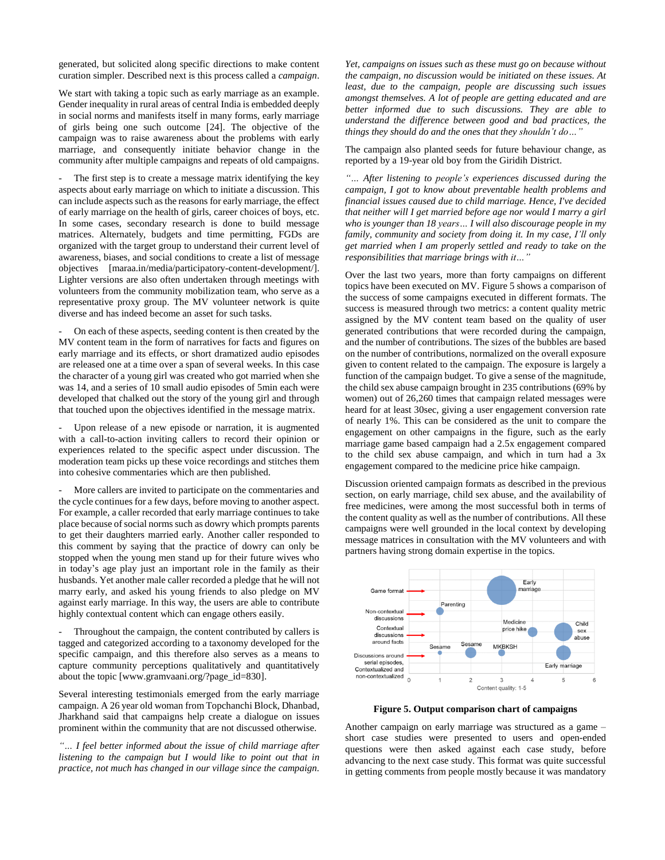generated, but solicited along specific directions to make content curation simpler. Described next is this process called a *campaign*.

We start with taking a topic such as early marriage as an example. Gender inequality in rural areas of central India is embedded deeply in social norms and manifests itself in many forms, early marriage of girls being one such outcome [24]. The objective of the campaign was to raise awareness about the problems with early marriage, and consequently initiate behavior change in the community after multiple campaigns and repeats of old campaigns.

The first step is to create a message matrix identifying the key aspects about early marriage on which to initiate a discussion. This can include aspects such as the reasons for early marriage, the effect of early marriage on the health of girls, career choices of boys, etc. In some cases, secondary research is done to build message matrices. Alternately, budgets and time permitting, FGDs are organized with the target group to understand their current level of awareness, biases, and social conditions to create a list of message objectives [maraa.in/media/participatory-content-development/]. Lighter versions are also often undertaken through meetings with volunteers from the community mobilization team, who serve as a representative proxy group. The MV volunteer network is quite diverse and has indeed become an asset for such tasks.

- On each of these aspects, seeding content is then created by the MV content team in the form of narratives for facts and figures on early marriage and its effects, or short dramatized audio episodes are released one at a time over a span of several weeks. In this case the character of a young girl was created who got married when she was 14, and a series of 10 small audio episodes of 5min each were developed that chalked out the story of the young girl and through that touched upon the objectives identified in the message matrix.

Upon release of a new episode or narration, it is augmented with a call-to-action inviting callers to record their opinion or experiences related to the specific aspect under discussion. The moderation team picks up these voice recordings and stitches them into cohesive commentaries which are then published.

More callers are invited to participate on the commentaries and the cycle continues for a few days, before moving to another aspect. For example, a caller recorded that early marriage continues to take place because of social norms such as dowry which prompts parents to get their daughters married early. Another caller responded to this comment by saying that the practice of dowry can only be stopped when the young men stand up for their future wives who in today's age play just an important role in the family as their husbands. Yet another male caller recorded a pledge that he will not marry early, and asked his young friends to also pledge on MV against early marriage. In this way, the users are able to contribute highly contextual content which can engage others easily.

Throughout the campaign, the content contributed by callers is tagged and categorized according to a taxonomy developed for the specific campaign, and this therefore also serves as a means to capture community perceptions qualitatively and quantitatively about the topic [www.gramvaani.org/?page\_id=830].

Several interesting testimonials emerged from the early marriage campaign. A 26 year old woman from Topchanchi Block, Dhanbad, Jharkhand said that campaigns help create a dialogue on issues prominent within the community that are not discussed otherwise.

*"… I feel better informed about the issue of child marriage after listening to the campaign but I would like to point out that in practice, not much has changed in our village since the campaign.*

*Yet, campaigns on issues such as these must go on because without the campaign, no discussion would be initiated on these issues. At least, due to the campaign, people are discussing such issues amongst themselves. A lot of people are getting educated and are better informed due to such discussions. They are able to understand the difference between good and bad practices, the things they should do and the ones that they shouldn't do…"*

The campaign also planted seeds for future behaviour change, as reported by a 19-year old boy from the Giridih District.

*"… After listening to people's experiences discussed during the campaign, I got to know about preventable health problems and financial issues caused due to child marriage. Hence, I've decided that neither will I get married before age nor would I marry a girl who is younger than 18 years… I will also discourage people in my family, community and society from doing it. In my case, I'll only get married when I am properly settled and ready to take on the responsibilities that marriage brings with it…"*

Over the last two years, more than forty campaigns on different topics have been executed on MV. Figure 5 shows a comparison of the success of some campaigns executed in different formats. The success is measured through two metrics: a content quality metric assigned by the MV content team based on the quality of user generated contributions that were recorded during the campaign, and the number of contributions. The sizes of the bubbles are based on the number of contributions, normalized on the overall exposure given to content related to the campaign. The exposure is largely a function of the campaign budget. To give a sense of the magnitude, the child sex abuse campaign brought in 235 contributions (69% by women) out of 26,260 times that campaign related messages were heard for at least 30sec, giving a user engagement conversion rate of nearly 1%. This can be considered as the unit to compare the engagement on other campaigns in the figure, such as the early marriage game based campaign had a 2.5x engagement compared to the child sex abuse campaign, and which in turn had a 3x engagement compared to the medicine price hike campaign.

Discussion oriented campaign formats as described in the previous section, on early marriage, child sex abuse, and the availability of free medicines, were among the most successful both in terms of the content quality as well as the number of contributions. All these campaigns were well grounded in the local context by developing message matrices in consultation with the MV volunteers and with partners having strong domain expertise in the topics.



**Figure 5. Output comparison chart of campaigns**

Another campaign on early marriage was structured as a game – short case studies were presented to users and open-ended questions were then asked against each case study, before advancing to the next case study. This format was quite successful in getting comments from people mostly because it was mandatory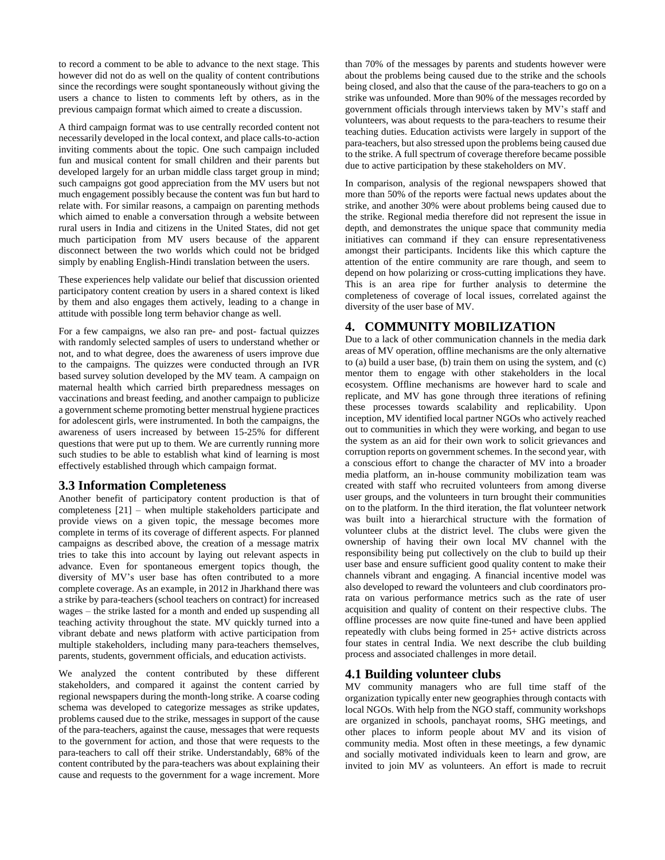to record a comment to be able to advance to the next stage. This however did not do as well on the quality of content contributions since the recordings were sought spontaneously without giving the users a chance to listen to comments left by others, as in the previous campaign format which aimed to create a discussion.

A third campaign format was to use centrally recorded content not necessarily developed in the local context, and place calls-to-action inviting comments about the topic. One such campaign included fun and musical content for small children and their parents but developed largely for an urban middle class target group in mind; such campaigns got good appreciation from the MV users but not much engagement possibly because the content was fun but hard to relate with. For similar reasons, a campaign on parenting methods which aimed to enable a conversation through a website between rural users in India and citizens in the United States, did not get much participation from MV users because of the apparent disconnect between the two worlds which could not be bridged simply by enabling English-Hindi translation between the users.

These experiences help validate our belief that discussion oriented participatory content creation by users in a shared context is liked by them and also engages them actively, leading to a change in attitude with possible long term behavior change as well.

For a few campaigns, we also ran pre- and post- factual quizzes with randomly selected samples of users to understand whether or not, and to what degree, does the awareness of users improve due to the campaigns. The quizzes were conducted through an IVR based survey solution developed by the MV team. A campaign on maternal health which carried birth preparedness messages on vaccinations and breast feeding, and another campaign to publicize a government scheme promoting better menstrual hygiene practices for adolescent girls, were instrumented. In both the campaigns, the awareness of users increased by between 15-25% for different questions that were put up to them. We are currently running more such studies to be able to establish what kind of learning is most effectively established through which campaign format.

#### **3.3 Information Completeness**

Another benefit of participatory content production is that of completeness [21] – when multiple stakeholders participate and provide views on a given topic, the message becomes more complete in terms of its coverage of different aspects. For planned campaigns as described above, the creation of a message matrix tries to take this into account by laying out relevant aspects in advance. Even for spontaneous emergent topics though, the diversity of MV's user base has often contributed to a more complete coverage. As an example, in 2012 in Jharkhand there was a strike by para-teachers (school teachers on contract) for increased wages – the strike lasted for a month and ended up suspending all teaching activity throughout the state. MV quickly turned into a vibrant debate and news platform with active participation from multiple stakeholders, including many para-teachers themselves, parents, students, government officials, and education activists.

We analyzed the content contributed by these different stakeholders, and compared it against the content carried by regional newspapers during the month-long strike. A coarse coding schema was developed to categorize messages as strike updates, problems caused due to the strike, messages in support of the cause of the para-teachers, against the cause, messages that were requests to the government for action, and those that were requests to the para-teachers to call off their strike. Understandably, 68% of the content contributed by the para-teachers was about explaining their cause and requests to the government for a wage increment. More

than 70% of the messages by parents and students however were about the problems being caused due to the strike and the schools being closed, and also that the cause of the para-teachers to go on a strike was unfounded. More than 90% of the messages recorded by government officials through interviews taken by MV's staff and volunteers, was about requests to the para-teachers to resume their teaching duties. Education activists were largely in support of the para-teachers, but also stressed upon the problems being caused due to the strike. A full spectrum of coverage therefore became possible due to active participation by these stakeholders on MV.

In comparison, analysis of the regional newspapers showed that more than 50% of the reports were factual news updates about the strike, and another 30% were about problems being caused due to the strike. Regional media therefore did not represent the issue in depth, and demonstrates the unique space that community media initiatives can command if they can ensure representativeness amongst their participants. Incidents like this which capture the attention of the entire community are rare though, and seem to depend on how polarizing or cross-cutting implications they have. This is an area ripe for further analysis to determine the completeness of coverage of local issues, correlated against the diversity of the user base of MV.

## **4. COMMUNITY MOBILIZATION**

Due to a lack of other communication channels in the media dark areas of MV operation, offline mechanisms are the only alternative to (a) build a user base, (b) train them on using the system, and (c) mentor them to engage with other stakeholders in the local ecosystem. Offline mechanisms are however hard to scale and replicate, and MV has gone through three iterations of refining these processes towards scalability and replicability. Upon inception, MV identified local partner NGOs who actively reached out to communities in which they were working, and began to use the system as an aid for their own work to solicit grievances and corruption reports on government schemes. In the second year, with a conscious effort to change the character of MV into a broader media platform, an in-house community mobilization team was created with staff who recruited volunteers from among diverse user groups, and the volunteers in turn brought their communities on to the platform. In the third iteration, the flat volunteer network was built into a hierarchical structure with the formation of volunteer clubs at the district level. The clubs were given the ownership of having their own local MV channel with the responsibility being put collectively on the club to build up their user base and ensure sufficient good quality content to make their channels vibrant and engaging. A financial incentive model was also developed to reward the volunteers and club coordinators prorata on various performance metrics such as the rate of user acquisition and quality of content on their respective clubs. The offline processes are now quite fine-tuned and have been applied repeatedly with clubs being formed in 25+ active districts across four states in central India. We next describe the club building process and associated challenges in more detail.

## **4.1 Building volunteer clubs**

MV community managers who are full time staff of the organization typically enter new geographies through contacts with local NGOs. With help from the NGO staff, community workshops are organized in schools, panchayat rooms, SHG meetings, and other places to inform people about MV and its vision of community media. Most often in these meetings, a few dynamic and socially motivated individuals keen to learn and grow, are invited to join MV as volunteers. An effort is made to recruit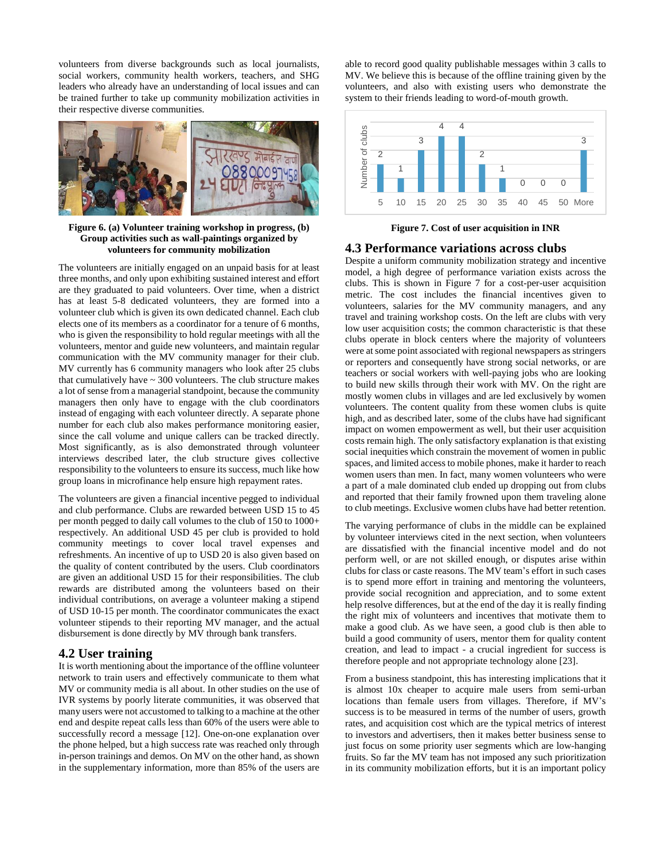volunteers from diverse backgrounds such as local journalists, social workers, community health workers, teachers, and SHG leaders who already have an understanding of local issues and can be trained further to take up community mobilization activities in their respective diverse communities.



**Figure 6. (a) Volunteer training workshop in progress, (b) Group activities such as wall-paintings organized by volunteers for community mobilization**

The volunteers are initially engaged on an unpaid basis for at least three months, and only upon exhibiting sustained interest and effort are they graduated to paid volunteers. Over time, when a district has at least 5-8 dedicated volunteers, they are formed into a volunteer club which is given its own dedicated channel. Each club elects one of its members as a coordinator for a tenure of 6 months, who is given the responsibility to hold regular meetings with all the volunteers, mentor and guide new volunteers, and maintain regular communication with the MV community manager for their club. MV currently has 6 community managers who look after 25 clubs that cumulatively have  $\sim$  300 volunteers. The club structure makes a lot of sense from a managerial standpoint, because the community managers then only have to engage with the club coordinators instead of engaging with each volunteer directly. A separate phone number for each club also makes performance monitoring easier, since the call volume and unique callers can be tracked directly. Most significantly, as is also demonstrated through volunteer interviews described later, the club structure gives collective responsibility to the volunteers to ensure its success, much like how group loans in microfinance help ensure high repayment rates.

The volunteers are given a financial incentive pegged to individual and club performance. Clubs are rewarded between USD 15 to 45 per month pegged to daily call volumes to the club of 150 to 1000+ respectively. An additional USD 45 per club is provided to hold community meetings to cover local travel expenses and refreshments. An incentive of up to USD 20 is also given based on the quality of content contributed by the users. Club coordinators are given an additional USD 15 for their responsibilities. The club rewards are distributed among the volunteers based on their individual contributions, on average a volunteer making a stipend of USD 10-15 per month. The coordinator communicates the exact volunteer stipends to their reporting MV manager, and the actual disbursement is done directly by MV through bank transfers.

## **4.2 User training**

It is worth mentioning about the importance of the offline volunteer network to train users and effectively communicate to them what MV or community media is all about. In other studies on the use of IVR systems by poorly literate communities, it was observed that many users were not accustomed to talking to a machine at the other end and despite repeat calls less than 60% of the users were able to successfully record a message [12]. One-on-one explanation over the phone helped, but a high success rate was reached only through in-person trainings and demos. On MV on the other hand, as shown in the supplementary information, more than 85% of the users are able to record good quality publishable messages within 3 calls to MV. We believe this is because of the offline training given by the volunteers, and also with existing users who demonstrate the system to their friends leading to word-of-mouth growth.



**Figure 7. Cost of user acquisition in INR**

#### **4.3 Performance variations across clubs**

Despite a uniform community mobilization strategy and incentive model, a high degree of performance variation exists across the clubs. This is shown in Figure 7 for a cost-per-user acquisition metric. The cost includes the financial incentives given to volunteers, salaries for the MV community managers, and any travel and training workshop costs. On the left are clubs with very low user acquisition costs; the common characteristic is that these clubs operate in block centers where the majority of volunteers were at some point associated with regional newspapers as stringers or reporters and consequently have strong social networks, or are teachers or social workers with well-paying jobs who are looking to build new skills through their work with MV. On the right are mostly women clubs in villages and are led exclusively by women volunteers. The content quality from these women clubs is quite high, and as described later, some of the clubs have had significant impact on women empowerment as well, but their user acquisition costs remain high. The only satisfactory explanation is that existing social inequities which constrain the movement of women in public spaces, and limited access to mobile phones, make it harder to reach women users than men. In fact, many women volunteers who were a part of a male dominated club ended up dropping out from clubs and reported that their family frowned upon them traveling alone to club meetings. Exclusive women clubs have had better retention.

The varying performance of clubs in the middle can be explained by volunteer interviews cited in the next section, when volunteers are dissatisfied with the financial incentive model and do not perform well, or are not skilled enough, or disputes arise within clubs for class or caste reasons. The MV team's effort in such cases is to spend more effort in training and mentoring the volunteers, provide social recognition and appreciation, and to some extent help resolve differences, but at the end of the day it is really finding the right mix of volunteers and incentives that motivate them to make a good club. As we have seen, a good club is then able to build a good community of users, mentor them for quality content creation, and lead to impact - a crucial ingredient for success is therefore people and not appropriate technology alone [23].

From a business standpoint, this has interesting implications that it is almost 10x cheaper to acquire male users from semi-urban locations than female users from villages. Therefore, if MV's success is to be measured in terms of the number of users, growth rates, and acquisition cost which are the typical metrics of interest to investors and advertisers, then it makes better business sense to just focus on some priority user segments which are low-hanging fruits. So far the MV team has not imposed any such prioritization in its community mobilization efforts, but it is an important policy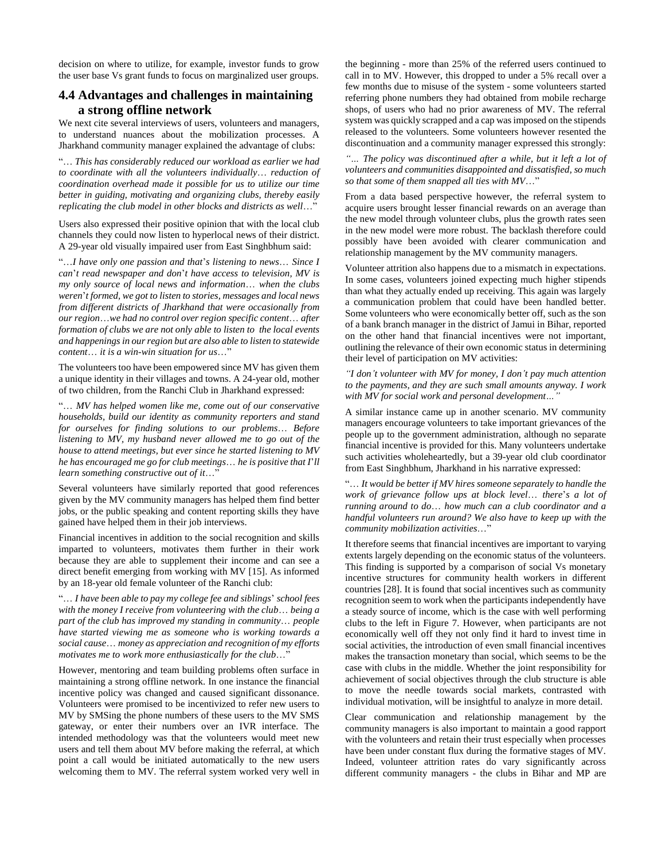decision on where to utilize, for example, investor funds to grow the user base Vs grant funds to focus on marginalized user groups.

## **4.4 Advantages and challenges in maintaining a strong offline network**

We next cite several interviews of users, volunteers and managers, to understand nuances about the mobilization processes. A Jharkhand community manager explained the advantage of clubs:

"… *This has considerably reduced our workload as earlier we had to coordinate with all the volunteers individually*… *reduction of coordination overhead made it possible for us to utilize our time better in guiding, motivating and organizing clubs, thereby easily replicating the club model in other blocks and districts as well*…"

Users also expressed their positive opinion that with the local club channels they could now listen to hyperlocal news of their district. A 29-year old visually impaired user from East Singhbhum said:

"…*I have only one passion and that*'*s listening to news*… *Since I can*'*t read newspaper and don*'*t have access to television, MV is my only source of local news and information*… *when the clubs weren*'*t formed, we got to listen to stories, messages and local news from different districts of Jharkhand that were occasionally from our region*…*we had no control over region specific content*… *after formation of clubs we are not only able to listen to the local events and happenings in ourregion but are also able to listen to statewide content*… *it is a win-win situation for us*…"

The volunteers too have been empowered since MV has given them a unique identity in their villages and towns. A 24-year old, mother of two children, from the Ranchi Club in Jharkhand expressed:

"… *MV has helped women like me, come out of our conservative households, build our identity as community reporters and stand for ourselves for finding solutions to our problems*… *Before listening to MV, my husband never allowed me to go out of the house to attend meetings, but ever since he started listening to MV he has encouraged me go for club meetings*… *he is positive that I*'*ll learn something constructive out of it*…"

Several volunteers have similarly reported that good references given by the MV community managers has helped them find better jobs, or the public speaking and content reporting skills they have gained have helped them in their job interviews.

Financial incentives in addition to the social recognition and skills imparted to volunteers, motivates them further in their work because they are able to supplement their income and can see a direct benefit emerging from working with MV [15]. As informed by an 18-year old female volunteer of the Ranchi club:

"… *I have been able to pay my college fee and siblings*' *school fees with the money I receive from volunteering with the club*… *being a part of the club has improved my standing in community*… *people have started viewing me as someone who is working towards a social cause*… *money as appreciation and recognition of my efforts motivates me to work more enthusiastically for the club*…"

However, mentoring and team building problems often surface in maintaining a strong offline network. In one instance the financial incentive policy was changed and caused significant dissonance. Volunteers were promised to be incentivized to refer new users to MV by SMSing the phone numbers of these users to the MV SMS gateway, or enter their numbers over an IVR interface. The intended methodology was that the volunteers would meet new users and tell them about MV before making the referral, at which point a call would be initiated automatically to the new users welcoming them to MV. The referral system worked very well in the beginning - more than 25% of the referred users continued to call in to MV. However, this dropped to under a 5% recall over a few months due to misuse of the system - some volunteers started referring phone numbers they had obtained from mobile recharge shops, of users who had no prior awareness of MV. The referral system was quickly scrapped and a cap was imposed on the stipends released to the volunteers. Some volunteers however resented the discontinuation and a community manager expressed this strongly:

*"… The policy was discontinued after a while, but it left a lot of volunteers and communities disappointed and dissatisfied, so much so that some of them snapped all ties with MV*…"

From a data based perspective however, the referral system to acquire users brought lesser financial rewards on an average than the new model through volunteer clubs, plus the growth rates seen in the new model were more robust. The backlash therefore could possibly have been avoided with clearer communication and relationship management by the MV community managers.

Volunteer attrition also happens due to a mismatch in expectations. In some cases, volunteers joined expecting much higher stipends than what they actually ended up receiving. This again was largely a communication problem that could have been handled better. Some volunteers who were economically better off, such as the son of a bank branch manager in the district of Jamui in Bihar, reported on the other hand that financial incentives were not important, outlining the relevance of their own economic status in determining their level of participation on MV activities:

*"I don't volunteer with MV for money, I don't pay much attention to the payments, and they are such small amounts anyway. I work with MV for social work and personal development…"*

A similar instance came up in another scenario. MV community managers encourage volunteers to take important grievances of the people up to the government administration, although no separate financial incentive is provided for this. Many volunteers undertake such activities wholeheartedly, but a 39-year old club coordinator from East Singhbhum, Jharkhand in his narrative expressed:

"… *It would be better if MV hires someone separately to handle the work of grievance follow ups at block level*… *there*'*s a lot of running around to do*… *how much can a club coordinator and a handful volunteers run around? We also have to keep up with the community mobilization activities*…"

It therefore seems that financial incentives are important to varying extents largely depending on the economic status of the volunteers. This finding is supported by a comparison of social Vs monetary incentive structures for community health workers in different countries [28]. It is found that social incentives such as community recognition seem to work when the participants independently have a steady source of income, which is the case with well performing clubs to the left in Figure 7. However, when participants are not economically well off they not only find it hard to invest time in social activities, the introduction of even small financial incentives makes the transaction monetary than social, which seems to be the case with clubs in the middle. Whether the joint responsibility for achievement of social objectives through the club structure is able to move the needle towards social markets, contrasted with individual motivation, will be insightful to analyze in more detail.

Clear communication and relationship management by the community managers is also important to maintain a good rapport with the volunteers and retain their trust especially when processes have been under constant flux during the formative stages of MV. Indeed, volunteer attrition rates do vary significantly across different community managers - the clubs in Bihar and MP are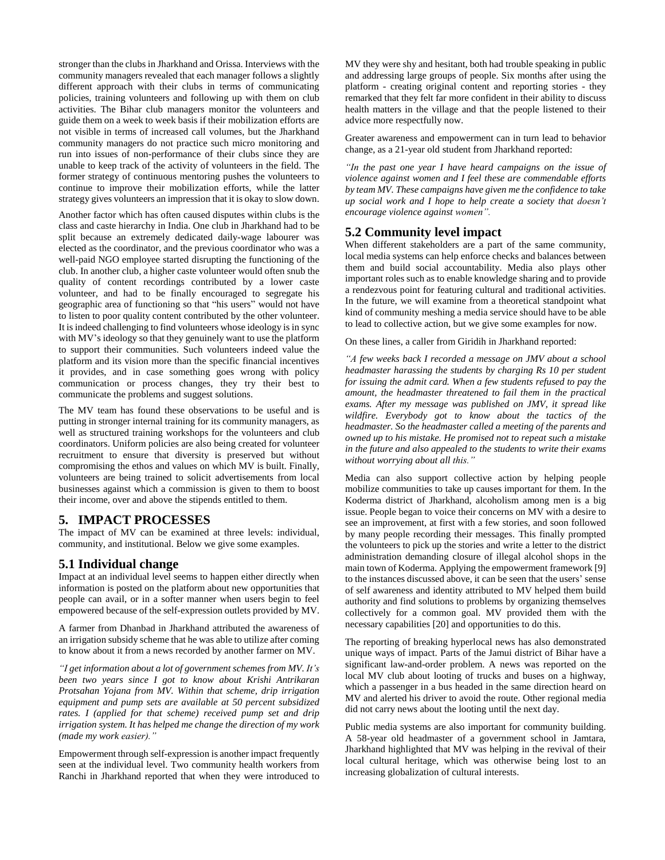stronger than the clubs in Jharkhand and Orissa. Interviews with the community managers revealed that each manager follows a slightly different approach with their clubs in terms of communicating policies, training volunteers and following up with them on club activities. The Bihar club managers monitor the volunteers and guide them on a week to week basis if their mobilization efforts are not visible in terms of increased call volumes, but the Jharkhand community managers do not practice such micro monitoring and run into issues of non-performance of their clubs since they are unable to keep track of the activity of volunteers in the field. The former strategy of continuous mentoring pushes the volunteers to continue to improve their mobilization efforts, while the latter strategy gives volunteers an impression that it is okay to slow down.

Another factor which has often caused disputes within clubs is the class and caste hierarchy in India. One club in Jharkhand had to be split because an extremely dedicated daily-wage labourer was elected as the coordinator, and the previous coordinator who was a well-paid NGO employee started disrupting the functioning of the club. In another club, a higher caste volunteer would often snub the quality of content recordings contributed by a lower caste volunteer, and had to be finally encouraged to segregate his geographic area of functioning so that "his users" would not have to listen to poor quality content contributed by the other volunteer. It is indeed challenging to find volunteers whose ideology is in sync with MV's ideology so that they genuinely want to use the platform to support their communities. Such volunteers indeed value the platform and its vision more than the specific financial incentives it provides, and in case something goes wrong with policy communication or process changes, they try their best to communicate the problems and suggest solutions.

The MV team has found these observations to be useful and is putting in stronger internal training for its community managers, as well as structured training workshops for the volunteers and club coordinators. Uniform policies are also being created for volunteer recruitment to ensure that diversity is preserved but without compromising the ethos and values on which MV is built. Finally, volunteers are being trained to solicit advertisements from local businesses against which a commission is given to them to boost their income, over and above the stipends entitled to them.

## **5. IMPACT PROCESSES**

The impact of MV can be examined at three levels: individual, community, and institutional. Below we give some examples.

## **5.1 Individual change**

Impact at an individual level seems to happen either directly when information is posted on the platform about new opportunities that people can avail, or in a softer manner when users begin to feel empowered because of the self-expression outlets provided by MV.

A farmer from Dhanbad in Jharkhand attributed the awareness of an irrigation subsidy scheme that he was able to utilize after coming to know about it from a news recorded by another farmer on MV.

*"I get information about a lot of government schemes from MV. It's been two years since I got to know about Krishi Antrikaran Protsahan Yojana from MV. Within that scheme, drip irrigation equipment and pump sets are available at 50 percent subsidized rates. I (applied for that scheme) received pump set and drip irrigation system. It has helped me change the direction of my work (made my work easier)."*

Empowerment through self-expression is another impact frequently seen at the individual level. Two community health workers from Ranchi in Jharkhand reported that when they were introduced to

MV they were shy and hesitant, both had trouble speaking in public and addressing large groups of people. Six months after using the platform - creating original content and reporting stories - they remarked that they felt far more confident in their ability to discuss health matters in the village and that the people listened to their advice more respectfully now.

Greater awareness and empowerment can in turn lead to behavior change, as a 21-year old student from Jharkhand reported:

*"In the past one year I have heard campaigns on the issue of violence against women and I feel these are commendable efforts by team MV. These campaigns have given me the confidence to take up social work and I hope to help create a society that doesn't encourage violence against women".*

## **5.2 Community level impact**

When different stakeholders are a part of the same community, local media systems can help enforce checks and balances between them and build social accountability. Media also plays other important roles such as to enable knowledge sharing and to provide a rendezvous point for featuring cultural and traditional activities. In the future, we will examine from a theoretical standpoint what kind of community meshing a media service should have to be able to lead to collective action, but we give some examples for now.

On these lines, a caller from Giridih in Jharkhand reported:

*"A few weeks back I recorded a message on JMV about a school headmaster harassing the students by charging Rs 10 per student for issuing the admit card. When a few students refused to pay the amount, the headmaster threatened to fail them in the practical exams. After my message was published on JMV, it spread like wildfire. Everybody got to know about the tactics of the headmaster. So the headmaster called a meeting of the parents and owned up to his mistake. He promised not to repeat such a mistake in the future and also appealed to the students to write their exams without worrying about all this."*

Media can also support collective action by helping people mobilize communities to take up causes important for them. In the Koderma district of Jharkhand, alcoholism among men is a big issue. People began to voice their concerns on MV with a desire to see an improvement, at first with a few stories, and soon followed by many people recording their messages. This finally prompted the volunteers to pick up the stories and write a letter to the district administration demanding closure of illegal alcohol shops in the main town of Koderma. Applying the empowerment framework [9] to the instances discussed above, it can be seen that the users' sense of self awareness and identity attributed to MV helped them build authority and find solutions to problems by organizing themselves collectively for a common goal. MV provided them with the necessary capabilities [20] and opportunities to do this.

The reporting of breaking hyperlocal news has also demonstrated unique ways of impact. Parts of the Jamui district of Bihar have a significant law-and-order problem. A news was reported on the local MV club about looting of trucks and buses on a highway, which a passenger in a bus headed in the same direction heard on MV and alerted his driver to avoid the route. Other regional media did not carry news about the looting until the next day.

Public media systems are also important for community building. A 58-year old headmaster of a government school in Jamtara, Jharkhand highlighted that MV was helping in the revival of their local cultural heritage, which was otherwise being lost to an increasing globalization of cultural interests.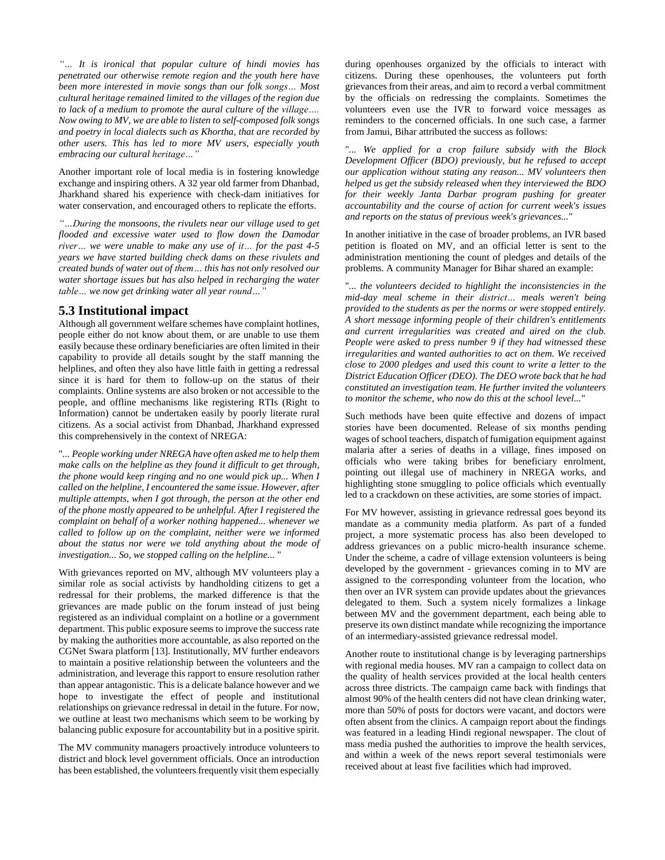*"… It is ironical that popular culture of hindi movies has penetrated our otherwise remote region and the youth here have been more interested in movie songs than our folk songs… Most cultural heritage remained limited to the villages of the region due to lack of a medium to promote the aural culture of the village…. Now owing to MV, we are able to listen to self-composed folk songs and poetry in local dialects such as Khortha, that are recorded by other users. This has led to more MV users, especially youth embracing our cultural heritage…"*

Another important role of local media is in fostering knowledge exchange and inspiring others. A 32 year old farmer from Dhanbad, Jharkhand shared his experience with check-dam initiatives for water conservation, and encouraged others to replicate the efforts.

*"…During the monsoons, the rivulets near our village used to get flooded and excessive water used to flow down the Damodar river… we were unable to make any use of it… for the past 4-5 years we have started building check dams on these rivulets and created bunds of water out of them… this has not only resolved our water shortage issues but has also helped in recharging the water table… we now get drinking water all year round…"*

### **5.3 Institutional impact**

Although all government welfare schemes have complaint hotlines, people either do not know about them, or are unable to use them easily because these ordinary beneficiaries are often limited in their capability to provide all details sought by the staff manning the helplines, and often they also have little faith in getting a redressal since it is hard for them to follow-up on the status of their complaints. Online systems are also broken or not accessible to the people, and offline mechanisms like registering RTIs (Right to Information) cannot be undertaken easily by poorly literate rural citizens. As a social activist from Dhanbad, Jharkhand expressed this comprehensively in the context of NREGA:

"*... People working under NREGA have often asked me to help them make calls on the helpline as they found it difficult to get through, the phone would keep ringing and no one would pick up... When I called on the helpline, I encountered the same issue. However, after multiple attempts, when I got through, the person at the other end of the phone mostly appeared to be unhelpful. After I registered the complaint on behalf of a worker nothing happened... whenever we called to follow up on the complaint, neither were we informed about the status nor were we told anything about the mode of investigation... So, we stopped calling on the helpline...* "

With grievances reported on MV, although MV volunteers play a similar role as social activists by handholding citizens to get a redressal for their problems, the marked difference is that the grievances are made public on the forum instead of just being registered as an individual complaint on a hotline or a government department. This public exposure seems to improve the success rate by making the authorities more accountable, as also reported on the CGNet Swara platform [13]. Institutionally, MV further endeavors to maintain a positive relationship between the volunteers and the administration, and leverage this rapport to ensure resolution rather than appear antagonistic. This is a delicate balance however and we hope to investigate the effect of people and institutional relationships on grievance redressal in detail in the future. For now, we outline at least two mechanisms which seem to be working by balancing public exposure for accountability but in a positive spirit.

The MV community managers proactively introduce volunteers to district and block level government officials. Once an introduction has been established, the volunteers frequently visit them especially

during openhouses organized by the officials to interact with citizens. During these openhouses, the volunteers put forth grievances from their areas, and aim to record a verbal commitment by the officials on redressing the complaints. Sometimes the volunteers even use the IVR to forward voice messages as reminders to the concerned officials. In one such case, a farmer from Jamui, Bihar attributed the success as follows:

"*... We applied for a crop failure subsidy with the Block Development Officer (BDO) previously, but he refused to accept our application without stating any reason... MV volunteers then helped us get the subsidy released when they interviewed the BDO for their weekly Janta Darbar program pushing for greater accountability and the course of action for current week's issues and reports on the status of previous week's grievances...*"

In another initiative in the case of broader problems, an IVR based petition is floated on MV, and an official letter is sent to the administration mentioning the count of pledges and details of the problems. A community Manager for Bihar shared an example:

"*... the volunteers decided to highlight the inconsistencies in the mid-day meal scheme in their district… meals weren't being provided to the students as per the norms or were stopped entirely. A short message informing people of their children's entitlements and current irregularities was created and aired on the club. People were asked to press number 9 if they had witnessed these irregularities and wanted authorities to act on them. We received close to 2000 pledges and used this count to write a letter to the District Education Officer (DEO). The DEO wrote back that he had constituted an investigation team. He further invited the volunteers to monitor the scheme, who now do this at the school level...*"

Such methods have been quite effective and dozens of impact stories have been documented. Release of six months pending wages of school teachers, dispatch of fumigation equipment against malaria after a series of deaths in a village, fines imposed on officials who were taking bribes for beneficiary enrolment, pointing out illegal use of machinery in NREGA works, and highlighting stone smuggling to police officials which eventually led to a crackdown on these activities, are some stories of impact.

For MV however, assisting in grievance redressal goes beyond its mandate as a community media platform. As part of a funded project, a more systematic process has also been developed to address grievances on a public micro-health insurance scheme. Under the scheme, a cadre of village extension volunteers is being developed by the government - grievances coming in to MV are assigned to the corresponding volunteer from the location, who then over an IVR system can provide updates about the grievances delegated to them. Such a system nicely formalizes a linkage between MV and the government department, each being able to preserve its own distinct mandate while recognizing the importance of an intermediary-assisted grievance redressal model.

Another route to institutional change is by leveraging partnerships with regional media houses. MV ran a campaign to collect data on the quality of health services provided at the local health centers across three districts. The campaign came back with findings that almost 90% of the health centers did not have clean drinking water, more than 50% of posts for doctors were vacant, and doctors were often absent from the clinics. A campaign report about the findings was featured in a leading Hindi regional newspaper. The clout of mass media pushed the authorities to improve the health services, and within a week of the news report several testimonials were received about at least five facilities which had improved.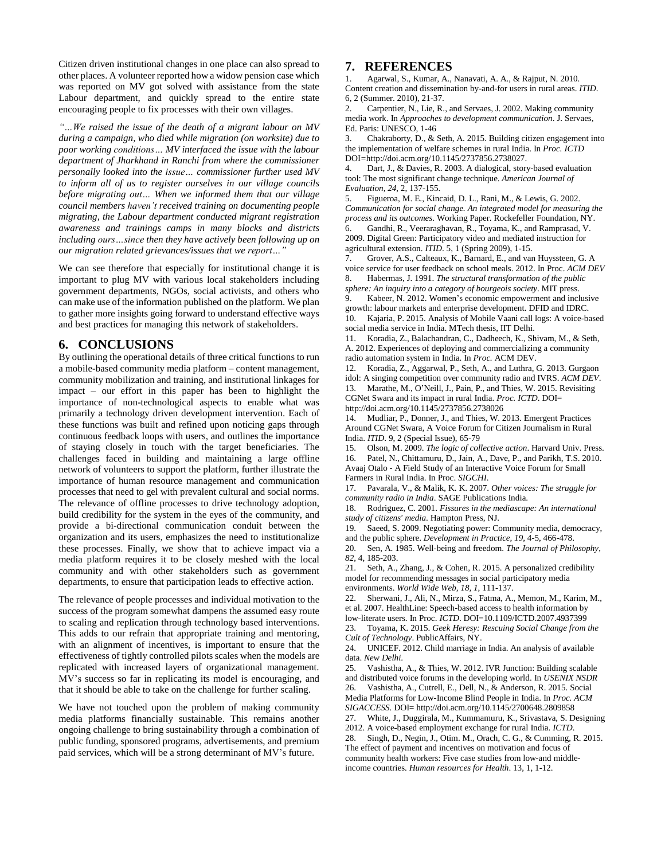Citizen driven institutional changes in one place can also spread to other places. A volunteer reported how a widow pension case which was reported on MV got solved with assistance from the state Labour department, and quickly spread to the entire state encouraging people to fix processes with their own villages.

*"…We raised the issue of the death of a migrant labour on MV during a campaign, who died while migration (on worksite) due to poor working conditions… MV interfaced the issue with the labour department of Jharkhand in Ranchi from where the commissioner personally looked into the issue… commissioner further used MV to inform all of us to register ourselves in our village councils before migrating out… When we informed them that our village council members haven't received training on documenting people migrating, the Labour department conducted migrant registration awareness and trainings camps in many blocks and districts including ours…since then they have actively been following up on our migration related grievances/issues that we report…"*

We can see therefore that especially for institutional change it is important to plug MV with various local stakeholders including government departments, NGOs, social activists, and others who can make use of the information published on the platform. We plan to gather more insights going forward to understand effective ways and best practices for managing this network of stakeholders.

## **6. CONCLUSIONS**

By outlining the operational details of three critical functions to run a mobile-based community media platform – content management, community mobilization and training, and institutional linkages for impact – our effort in this paper has been to highlight the importance of non-technological aspects to enable what was primarily a technology driven development intervention. Each of these functions was built and refined upon noticing gaps through continuous feedback loops with users, and outlines the importance of staying closely in touch with the target beneficiaries. The challenges faced in building and maintaining a large offline network of volunteers to support the platform, further illustrate the importance of human resource management and communication processes that need to gel with prevalent cultural and social norms. The relevance of offline processes to drive technology adoption, build credibility for the system in the eyes of the community, and provide a bi-directional communication conduit between the organization and its users, emphasizes the need to institutionalize these processes. Finally, we show that to achieve impact via a media platform requires it to be closely meshed with the local community and with other stakeholders such as government departments, to ensure that participation leads to effective action.

The relevance of people processes and individual motivation to the success of the program somewhat dampens the assumed easy route to scaling and replication through technology based interventions. This adds to our refrain that appropriate training and mentoring, with an alignment of incentives, is important to ensure that the effectiveness of tightly controlled pilots scales when the models are replicated with increased layers of organizational management. MV's success so far in replicating its model is encouraging, and that it should be able to take on the challenge for further scaling.

We have not touched upon the problem of making community media platforms financially sustainable. This remains another ongoing challenge to bring sustainability through a combination of public funding, sponsored programs, advertisements, and premium paid services, which will be a strong determinant of MV's future.

## **7. REFERENCES**

1. Agarwal, S., Kumar, A., Nanavati, A. A., & Rajput, N. 2010. Content creation and dissemination by-and-for users in rural areas. *ITID*. 6, 2 (Summer. 2010), 21-37.

2. Carpentier, N., Lie, R., and Servaes, J. 2002. Making community media work. In *Approaches to development communication*. J. Servaes, Ed. Paris: UNESCO, 1-46

3. Chakraborty, D., & Seth, A. 2015. Building citizen engagement into the implementation of welfare schemes in rural India. In *Proc. ICTD* DOI*=*[http://doi.acm.org/10.1145/2737856.2738027.](http://doi.acm.org/10.1145/2737856.2738027)

4. Dart, J., & Davies, R. 2003. A dialogical, story-based evaluation tool: The most significant change technique. *American Journal of Evaluation*, *24*, 2, 137-155.

5. Figueroa, M. E., Kincaid, D. L., Rani, M., & Lewis, G. 2002. *Communication for social change. An integrated model for measuring the process and its outcomes*. Working Paper. Rockefeller Foundation, NY. 6. Gandhi, R., Veeraraghavan, R., Toyama, K., and Ramprasad, V. 2009. Digital Green: Participatory video and mediated instruction for agricultural extension. *ITID*. 5, 1 (Spring 2009), 1-15.

7. Grover, A.S., Calteaux, K., Barnard, E., and van Huyssteen, G. A voice service for user feedback on school meals. 2012. In Proc. *ACM DEV* 8. Habermas, J. 1991. *The structural transformation of the public*

*sphere: An inquiry into a category of bourgeois society*. MIT press. Kabeer, N. 2012. Women's economic empowerment and inclusive growth: labour markets and enterprise development. DFID and IDRC. 10. Kajaria, P. 2015. Analysis of Mobile Vaani call logs: A voice-based social media service in India. MTech thesis, IIT Delhi.

11. Koradia, Z., Balachandran, C., Dadheech, K., Shivam, M., & Seth, A. 2012. Experiences of deploying and commercializing a community radio automation system in India. In *Proc.* ACM DEV.

12. Koradia, Z., Aggarwal, P., Seth, A., and Luthra, G. 2013. Gurgaon idol: A singing competition over community radio and IVRS. *ACM DEV*.

13. Marathe, M., O'Neill, J., Pain, P., and Thies, W. 2015. Revisiting CGNet Swara and its impact in rural India. *Proc. ICTD*. DOI=

http://doi.acm.org/10.1145/2737856.2738026

14. Mudliar, P., Donner, J., and Thies, W. 2013. Emergent Practices Around CGNet Swara, A Voice Forum for Citizen Journalism in Rural India. *ITID*. 9, 2 (Special Issue), 65-79

15. Olson, M. 2009. *The logic of collective action*. Harvard Univ. Press. 16. Patel, N., Chittamuru, D., Jain, A., Dave, P., and Parikh, T.S. 2010. Avaaj Otalo - A Field Study of an Interactive Voice Forum for Small Farmers in Rural India. In Proc. *SIGCHI*.

17. Pavarala, V., & Malik, K. K. 2007. *Other voices: The struggle for community radio in India*. SAGE Publications India.

18. Rodriguez, C. 2001. *Fissures in the mediascape: An international study of citizens' media*. Hampton Press, NJ.

19. Saeed, S. 2009. Negotiating power: Community media, democracy, and the public sphere. *Development in Practice, 19*, 4-5, 466-478.

20. Sen, A. 1985. Well-being and freedom. *The Journal of Philosophy*, *82*, 4, 185-203.

21. Seth, A., Zhang, J., & Cohen, R. 2015. A personalized credibility model for recommending messages in social participatory media environments. *World Wide Web, 18, 1*, 111-137.

22. Sherwani, J., Ali, N., Mirza, S., Fatma, A., Memon, M., Karim, M., et al. 2007. HealthLine: Speech-based access to health information by low-literate users. In Proc. *ICTD*. DOI=10.1109/ICTD.2007.4937399

23. Toyama, K. 2015. *Geek Heresy: Rescuing Social Change from the Cult of Technology*. PublicAffairs, NY.

24. UNICEF. 2012. Child marriage in India. An analysis of available data. *New Delhi*.

25. Vashistha, A., & Thies, W. 2012. IVR Junction: Building scalable and distributed voice forums in the developing world. In *USENIX NSDR* 26. Vashistha, A., Cutrell, E., Dell, N., & Anderson, R. 2015. Social Media Platforms for Low-Income Blind People in India. In *Proc. ACM SIGACCESS*. DOI= http://doi.acm.org/10.1145/2700648.2809858 27. White, J., Duggirala, M., Kummamuru, K., Srivastava, S. Designing 2012. A voice-based employment exchange for rural India. *ICTD*.

28. Singh, D., Negin, J., Otim. M., Orach, C. G., & Cumming, R. 2015. The effect of payment and incentives on motivation and focus of community health workers: Five case studies from low-and middleincome countries. *Human resources for Health*. 13, 1, 1-12.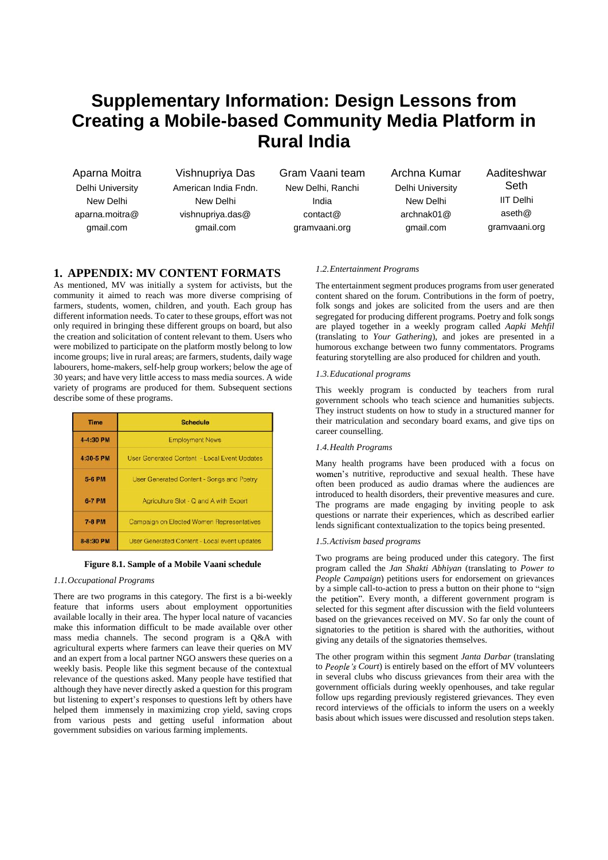# **Supplementary Information: Design Lessons from Creating a Mobile-based Community Media Platform in Rural India**

Aparna Moitra Delhi University New Delhi aparna.moitra@ gmail.com

Vishnupriya Das American India Fndn. New Delhi vishnupriya.das@ gmail.com

Gram Vaani team New Delhi, Ranchi India contact@ gramvaani.org

Archna Kumar Delhi University New Delhi archnak01@ gmail.com

Aaditeshwar Seth IIT Delhi aseth@ gramvaani.org

# **1. APPENDIX: MV CONTENT FORMATS**

As mentioned, MV was initially a system for activists, but the community it aimed to reach was more diverse comprising of farmers, students, women, children, and youth. Each group has different information needs. To cater to these groups, effort was not only required in bringing these different groups on board, but also the creation and solicitation of content relevant to them. Users who were mobilized to participate on the platform mostly belong to low income groups; live in rural areas; are farmers, students, daily wage labourers, home-makers, self-help group workers; below the age of 30 years; and have very little access to mass media sources. A wide variety of programs are produced for them. Subsequent sections describe some of these programs.

| <b>Time</b>   | <b>Schedule</b>                              |  |
|---------------|----------------------------------------------|--|
| 4-4:30 PM     | <b>Employment News</b>                       |  |
| 4:30-5 PM     | User Generated Content - Local Event Updates |  |
| 5-6 PM        | User Generated Content - Songs and Poetry    |  |
| 6-7 PM        | Agriculture Slot - Q and A with Expert       |  |
| <b>7-8 PM</b> | Campaign on Elected Women Representatives    |  |
| 8-8:30 PM     | User Generated Content - Local event updates |  |

#### **Figure 8.1. Sample of a Mobile Vaani schedule**

#### *1.1.Occupational Programs*

There are two programs in this category. The first is a bi-weekly feature that informs users about employment opportunities available locally in their area. The hyper local nature of vacancies make this information difficult to be made available over other mass media channels. The second program is a Q&A with agricultural experts where farmers can leave their queries on MV and an expert from a local partner NGO answers these queries on a weekly basis. People like this segment because of the contextual relevance of the questions asked. Many people have testified that although they have never directly asked a question for this program but listening to expert's responses to questions left by others have helped them immensely in maximizing crop yield, saving crops from various pests and getting useful information about government subsidies on various farming implements.

#### *1.2.Entertainment Programs*

The entertainment segment produces programs from user generated content shared on the forum. Contributions in the form of poetry, folk songs and jokes are solicited from the users and are then segregated for producing different programs. Poetry and folk songs are played together in a weekly program called *Aapki Mehfil* (translating to *Your Gathering*), and jokes are presented in a humorous exchange between two funny commentators. Programs featuring storytelling are also produced for children and youth.

#### *1.3.Educational programs*

This weekly program is conducted by teachers from rural government schools who teach science and humanities subjects. They instruct students on how to study in a structured manner for their matriculation and secondary board exams, and give tips on career counselling.

#### *1.4.Health Programs*

Many health programs have been produced with a focus on women's nutritive, reproductive and sexual health. These have often been produced as audio dramas where the audiences are introduced to health disorders, their preventive measures and cure. The programs are made engaging by inviting people to ask questions or narrate their experiences, which as described earlier lends significant contextualization to the topics being presented.

#### *1.5.Activism based programs*

Two programs are being produced under this category. The first program called the *Jan Shakti Abhiyan* (translating to *Power to People Campaign*) petitions users for endorsement on grievances by a simple call-to-action to press a button on their phone to "sign the petition". Every month, a different government program is selected for this segment after discussion with the field volunteers based on the grievances received on MV. So far only the count of signatories to the petition is shared with the authorities, without giving any details of the signatories themselves.

The other program within this segment *Janta Darbar* (translating to *People's Court*) is entirely based on the effort of MV volunteers in several clubs who discuss grievances from their area with the government officials during weekly openhouses, and take regular follow ups regarding previously registered grievances. They even record interviews of the officials to inform the users on a weekly basis about which issues were discussed and resolution steps taken.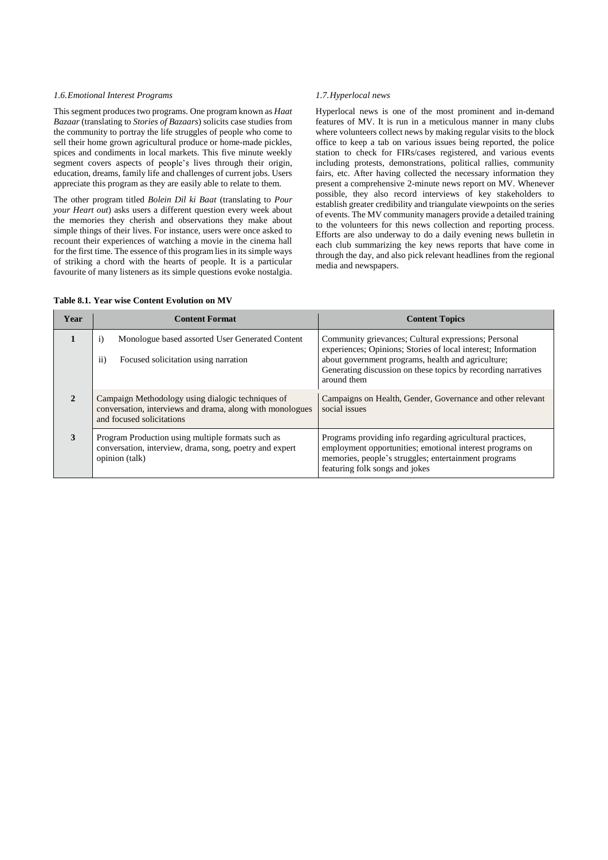#### *1.6.Emotional Interest Programs*

This segment produces two programs. One program known as *Haat Bazaar* (translating to *Stories of Bazaars*) solicits case studies from the community to portray the life struggles of people who come to sell their home grown agricultural produce or home-made pickles, spices and condiments in local markets. This five minute weekly segment covers aspects of people's lives through their origin, education, dreams, family life and challenges of current jobs. Users appreciate this program as they are easily able to relate to them.

The other program titled *Bolein Dilki Baat* (translating to *Pour your Heart out*) asks users a different question every week about the memories they cherish and observations they make about simple things of their lives. For instance, users were once asked to recount their experiences of watching a movie in the cinema hall for the first time. The essence of this program lies in its simple ways of striking a chord with the hearts of people. It is a particular favourite of many listeners as its simple questions evoke nostalgia.

#### *1.7.Hyperlocal news*

Hyperlocal news is one of the most prominent and in-demand features of MV. It is run in a meticulous manner in many clubs where volunteers collect news by making regular visits to the block office to keep a tab on various issues being reported, the police station to check for FIRs/cases registered, and various events including protests, demonstrations, political rallies, community fairs, etc. After having collected the necessary information they present a comprehensive 2-minute news report on MV. Whenever possible, they also record interviews of key stakeholders to establish greater credibility and triangulate viewpoints on the series of events. The MV community managers provide a detailed training to the volunteers for this news collection and reporting process. Efforts are also underway to do a daily evening news bulletin in each club summarizing the key news reports that have come in through the day, and also pick relevant headlines from the regional media and newspapers.

| Year         | <b>Content Format</b>                                                                                                                       | <b>Content Topics</b>                                                                                                                                                                                                                                       |
|--------------|---------------------------------------------------------------------------------------------------------------------------------------------|-------------------------------------------------------------------------------------------------------------------------------------------------------------------------------------------------------------------------------------------------------------|
|              | Monologue based assorted User Generated Content<br>$\mathbf{i}$<br>$\rm ii)$<br>Focused solicitation using narration                        | Community grievances; Cultural expressions; Personal<br>experiences; Opinions; Stories of local interest; Information<br>about government programs, health and agriculture;<br>Generating discussion on these topics by recording narratives<br>around them |
| $\mathbf{2}$ | Campaign Methodology using dialogic techniques of<br>conversation, interviews and drama, along with monologues<br>and focused solicitations | Campaigns on Health, Gender, Governance and other relevant<br>social issues                                                                                                                                                                                 |
| 3            | Program Production using multiple formats such as<br>conversation, interview, drama, song, poetry and expert<br>opinion (talk)              | Programs providing info regarding agricultural practices,<br>employment opportunities; emotional interest programs on<br>memories, people's struggles; entertainment programs<br>featuring folk songs and jokes                                             |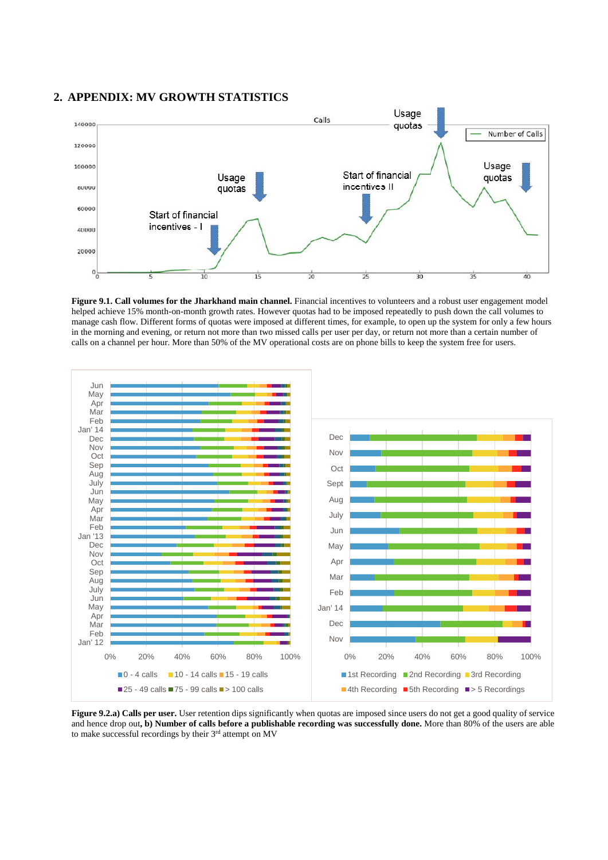# **2. APPENDIX: MV GROWTH STATISTICS**



**Figure 9.1. Call volumes for the Jharkhand main channel.** Financial incentives to volunteers and a robust user engagement model helped achieve 15% month-on-month growth rates. However quotas had to be imposed repeatedly to push down the call volumes to manage cash flow. Different forms of quotas were imposed at different times, for example, to open up the system for only a few hours in the morning and evening, or return not more than two missed calls per user per day, or return not more than a certain number of calls on a channel per hour. More than 50% of the MV operational costs are on phone bills to keep the system free for users.



**Figure 9.2.a) Calls per user.** User retention dips significantly when quotas are imposed since users do not get a good quality of service and hence drop out**,b) Number of calls before a publishable recording was successfully done.** More than 80% of the users are able to make successful recordings by their 3<sup>rd</sup> attempt on MV